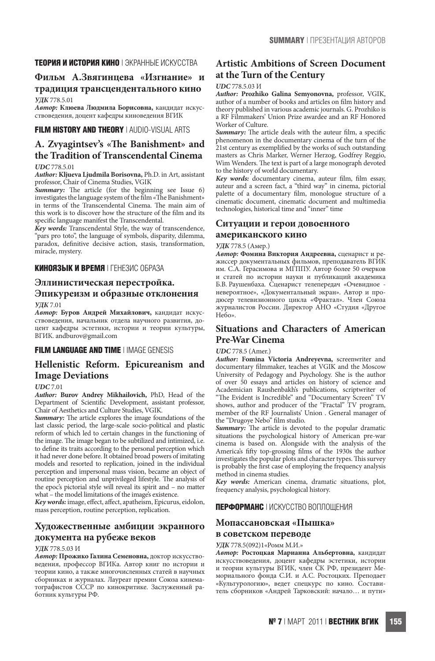# **ТЕОРИЯ И ИСТОРИЯ КИНО** | ЭКРАННЫЕ ИСКУССТВА

# **Фильм А.Звягинцева «Изгнание» и**

# **традиция трансцендентального кино**

**УДК** 778.5.01

**Автор: Клюева Людмила Борисовна,** кандидат искусствоведения, доцент кафедры киноведения ВГИК

# **FILM HISTORY AND THEORY** | AUDIO-VISUAL ARTS

# A. Zvyagintsev's «The Banishment» and **the Tradition of Transcendental Cinema**

#### **UDC** 778.5.01

**Author: Kljueva Ljudmila Borisovna,** Ph.D. in Art, assistant professor, Chair of Cinema Studies, VGIK

**Summary:** The article (for the beginning see Issue 6) investigates the language system of the film «The Banishment» in terms of the Transcendental Cinema. The main aim of this work is to discover how the structure of the 6lm and its specific language manifest the Transcendental.

**Key words:** Transcendental Style, the way of transcendence, "pars pro toto", the language of symbols, disparity, dilemma, paradox, definitive decisive action, stasis, transformation, miracle, mystery.

#### **КИНОЯЗЫК И ВРЕМЯ** | ГЕНЕЗИС ОБРАЗА

# **Эллинистическая перестройка. Эпикуреизм и образные отклонения**

#### **УДК** 7.01

**Автор: Буров Андрей Михайлович,** кандидат искусствоведения, начальник отдела научного развития, доцент кафедры эстетики, истории и теории культуры, ВГИК. andburov@gmail.com

#### **FILM LANGUAGE AND TIME** | IMAGE GENESIS

# **Hellenistic Reform. Epicureanism and Image Deviations**

#### **UDC** 7.01

**Author: Burov Andrey Mikhailovich,** PhD, Head of the Department of Scientific Development, assistant professor, Chair of Aesthetics and Culture Studies, VGIK.

**Summary:** The article explores the image foundations of the last classic period, the large-scale socio-political and plastic reform of which led to certain changes in the functioning of the image. The image began to be subtilized and intimized, i.e. to define its traits according to the personal perception which it had never done before. It obtained broad powers of imitating models and resorted to replication, joined in the individual perception and impersonal mass vision, became an object of routine perception and unprivileged lifestyle. The analysis of the epoc's pictorial style will reveal its spirit and – no matter what – the model limitations of the image's existence.

Key words: image, effect, affect, apatheism, Epicurus, eidolon, mass perception, routine perception, replication.

# **Художественные амбиции экранного документа на рубеже веков**

#### **УДК** 778.5.03 И

**Автор: Прожико Галина Семеновна,** доктор искусствоведения, профессор ВГИКа. Автор книг по истории и теории кино, а также многочисленных статей в научных сборниках и журналах. Лауреат премии Союза кинематографистов СССР по кинокритике. Заслуженный работник культуры РФ.

# **Artistic Ambitions of Screen Document at the Turn of the Century**

#### **UDC** 778.5.03 И

**Author: Prozhiko Galina Semyonovna,** professor, VGIK, author of a number of books and articles on 6lm history and theory published in various academic journals. G. Prozhiko is a RF Filmmakers' Union Prize awardee and an RF Honored Worker of Culture.

Summary: The article deals with the auteur film, a specific phenomenon in the documentary cinema of the turn of the 21st century as exemplified by the works of such outstanding masters as Chris Marker, Werner Herzog, Godfrey Reggio, Wim Wenders. The text is part of a large monograph devoted to the history of world documentary.

**Key words:** documentary cinema, auteur 6lm, 6lm essay, auteur and a screen fact, a "third way" in cinema, pictorial palette of a documentary 6lm, monologue structure of a cinematic document, cinematic document and multimedia technologies, historical time and "inner" time

### **Ситуации и герои довоенного американского кино**

#### **УДК** 778.5 (Амер.)

**Автор: Фомина Виктория Андреевна,** сценарист и режиссер документальных фильмов, преподаватель ВГИК им. С.А. Герасимова и МГППУ. Автор более 50 очерков и статей по истории науки и публикаций академика Б.В. Раушенбаха. Сценарист телепередач «Очевидное невероятное», «Документальный экран». Автор и продюсер телевизионного цикла «Фрактал». Член Союза журналистов России. Директор АНО «Студия «Другое Небо».

# **Situations and Characters of American Pre-War Cinema**

#### **UDC** 778.5 (Amer.)

**Author: Fomina Victoria Andreyevna,** screenwriter and documentary 6lmmaker, teaches at VGIK and the Moscow University of Pedagogy and Psychology. She is the author of over 50 essays and articles on history of science and Academician Raushenbakh's publications, scriptwriter of "5e Evident is Incredible" and "Documentary Screen" TV shows, author and producer of the "Fractal" TV program, member of the RF Journalists' Union . General manager of the "Drugoye Nebo" film studio.

Summary: The article is devoted to the popular dramatic situations the psychological history of American pre-war cinema is based on. Alongside with the analysis of the America's fifty top-grossing films of the 1930s the author investigates the popular plots and character types. This survey is probably the first case of employing the frequency analysis method in cinema studies.

**Key words:** American cinema, dramatic situations, plot, frequency analysis, psychological history.

### **ПЕРФОРМАНС** | ИСКУССТВО ВОПЛОЩЕНИЯ

### **Мопассановская «Пышка» в советском переводе**

**УДК** 778.5(092)1«Ромм М.И.»

**Автор: Ростоцкая Марианна Альбертовна,** кандидат искусствоведения, доцент кафедры эстетики, истории и теории культуры ВГИК, член СК РФ, президент Мемориального фонда С.И. и А.С. Ростоцких. Преподает «Культурологию», ведет спецкурс по кино. Составитель сборников «Андрей Тарковский: начало… и пути»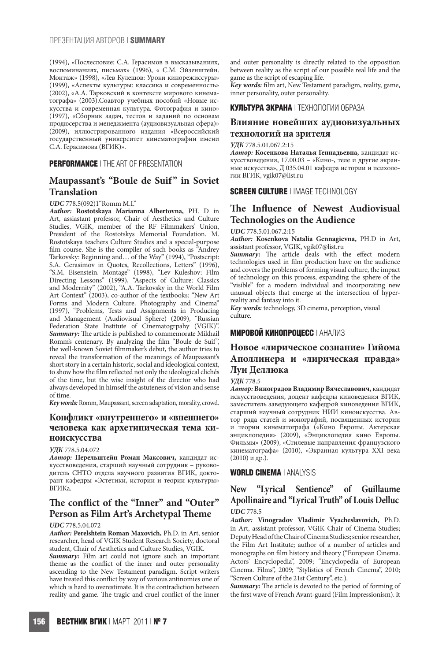(1994), «Послесловие: С.А. Герасимов в высказываниях, воспоминаниях, письмах» (1996), « С.М. Эйзенштейн. Монтаж» (1998), «Лев Кулешов: Уроки кинорежиссуры» (1999), «Аспекты культуры: классика и современность» (2002), «А.А. Тарковский в контексте мирового кинематографа» (2003).Соавтор учебных пособий «Новые искусства и современная культура. Фотография и кино» (1997), «Сборник задач, тестов и заданий по основам продюсерства и менеджмента (аудиовизуальная сфера)» (2009), иллюстрированного издания «Всероссийский государственный университет кинематографии имени С.А. Герасимова (ВГИК)».

#### **PERFORMANCE** | THE ART OF PRESENTATION

# **Maupassant's "Boule de Suif" in Soviet Translation**

**UDC** 778.5(092)1"Romm M.I."

**Author: Rostotskaya Marianna Albertovna,** PH. D in Art, assiastant professor, Chair of Aesthetics and Culture Studies, VGIK, member of the RF Filmmakers' Union, President of the Rostotskys Memorial Foundation. M. Rostotskaya teachers Culture Studies and a special-purpose film course. She is the compiler of such books as "Andrey" Tarkovsky: Beginning and... of the Way" (1994), "Postscript: S.A. Gerasimov in Quotes, Recollections, Letters" (1996), "S.M. Eisenstein. Montage" (1998), "Lev Kuleshov: Film Directing Lessons" (1999), "Aspects of Culture: Classics and Modernity" (2002), "A.A. Tarkovsky in the World Film Art Context" (2003), co-author of the textbooks: "New Art Forms and Modern Culture. Photography and Cinema" (1997), "Problems, Tests and Assignments in Producing and Management (Audiovisual Sphere) (2009), "Russian Federation State Institute of Cinematogrpahy (VGIK)". **Summary:** The article is published to commemorate Mikhail Romm's centenary. By analyzing the 6lm "Boule de Suif", the well-known Soviet 6lmmaker's debut, the author tries to reveal the transformation of the meanings of Maupassant's short story in a certain historic, social and ideological context. to show how the film reflected not only the ideological clichés of the time, but the wise insight of the director who had always developed in himself the astuteness of vision and sense of time.

Key words: Romm, Maupassant, screen adaptation, morality, crowd.

### **Конфликт «внутреннего» и «внешнего» человека как архетипическая тема киноискусства**

#### **УДК** 778.5.04.072

**Автор: Перельштейн Роман Максович,** кандидат искусствоведения, старший научный сотрудник – руководитель СНТО отдела научного развития ВГИК, докторант кафедры «Эстетики, истории и теории культуры» ВГИКа.

# The conflict of the "Inner" and "Outer" **Person as Film Art's Archetypal Theme**

#### **UDC** 778.5.04.072

**Author: Perelshtein Roman Maxovich,** Ph.D. in Art, senior researcher, head of VGIK Student Research Society, doctoral student, Chair of Aesthetics and Culture Studies, VGIK.

**Summary:** Film art could not ignore such an important theme as the conflict of the inner and outer personality ascending to the New Testament paradigm. Script writers have treated this conflict by way of various antinomies one of which is hard to overestimate. It is the contradiction between reality and game. The tragic and cruel conflict of the inner

and outer personality is directly related to the opposition between reality as the script of our possible real life and the game as the script of escaping life.

**Key words:** 6lm art, New Testament paradigm, reality, game, inner personality, outer personality.

#### **КУЛЬТУРА ЭКРАНА** | ТЕХНОЛОГИИ ОБРАЗА

#### **Влияние новейших аудиовизуальных технологий на зрителя**

**УДК** 778.5.01.067.2:15

**Автор: Косенкова Наталья Геннадьевна,** кандидат искусствоведения, 17.00.03 – «Кино-, теле и другие экранные искусства», Д 035.04.01 кафедра истории и психологии ВГИК, vgik07@list.ru

#### **SCREEN CULTURE** | IMAGE TECHNOLOGY

# The Influence of Newest Audiovisual **Technologies on the Audience**

#### **UDC** 778.5.01.067.2:15

**Author: Kosenkova Natalia Gennagievna,** PH.D in Art, assistant professor, VGIK, vgik07@list.ru

Summary: The article deals with the effect modern technologies used in 6lm production have on the audience and covers the problems of forming visual culture, the impact of technology on this process, expanding the sphere of the "visible" for a modern individual and incorporating new unusual objects that emerge at the intersection of hyperreality and fantasy into it.

**Key words:** technology, 3D cinema, perception, visual culture.

### **МИРОВОЙ КИНОПРОЦЕСС** | АНАЛИЗ

# **Новое «лирическое сознание» Гийома Аполлинера и «лирическая правда» Луи Деллюка**

**УДК** 778.5

**Автор: Виноградов Владимир Вячеславович,** кандидат искусствоведения, доцент кафедры киноведения ВГИК, заместитель заведующего кафедрой киноведения ВГИК, старший научный сотрудник НИИ киноискусства. Автор ряда статей и монографий, посвященных истории и теории кинематографа («Кино Европы. Актерская энциклопедия» (2009), «Энциклопедия кино Европы. Фильмы» (2009), «Стилевые направления французского кинематографа» (2010), «Экранная культура ХХI века (2010) и др.).

#### **WORLD CINEMA** | ANALYSIS

# **New "Lyrical Sentience" of Guillaume Apollinaire and "Lyrical Truth" of Louis Delluc UDC** 778.5

**Author: Vinogradov Vladimir Vyacheslavovich,** Ph.D. in Art, assistant professor, VGIK Chair of Cinema Studies; Deputy Head of the Chair of Cinema Studies; senior researcher, the Film Art Institute; author of a number of articles and monographs on 6lm history and theory ("European Cinema. Actors' Encyclopedia", 2009; "Encyclopedia of European Cinema. Films", 2009; "Stylistics of French Cinema", 2010; "Screen Culture of the 21st Century", etc.).

Summary: The article is devoted to the period of forming of the first wave of French Avant-guard (Film Impressionism). It